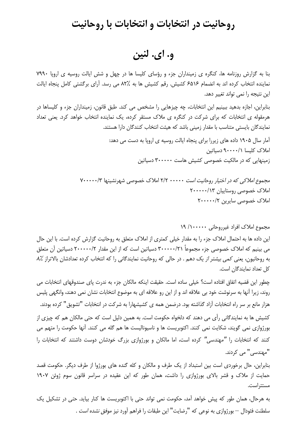## روحانیت در انتخابات و انتخابات با روحانیت

و. اي. لنين

بنا به گزارش روزنامه ها، کنگره ی زمینداران جزء و رؤسای کلیسا ها در چهل و شش ایالت روسیه ی اروپا ۷۹۹۰ نماینده انتخاب کرده اند به انضمام ۶۵۱۶ کشیش. رقم کشیش ها به %۸۲ می رسد. آرای برگشتی کامل پنجاه ایالت این نتیجه را نمی تواند تغییر دهد.

بنابراین، اجازه بدهید ببینیم این انتخابات، چه چیزهایی را مشخص می کند. طبق قانون، زمینداران جزء و کلیساها در هرمقوله ی انتخابات که برای شرکت در کنگره ی ملاک مستقر کرده، یک نماینده انتخاب خواهد کرد. یعنی تعداد نمایندگان بایستی متناسب با مقدار زمینی باشد که هیئت انتخاب کنندگان دارا هستند.

> آمار سال ۱۹۰۵ داده های زیررا برای پنجاه ایالت روسیه ی اروپا به دست می دهد: املاک کلیسا ۶۰۰۰۰/۱ دسیاتین زمینهایی که در مالکیت خصوصی کشیش هاست ۳۰۰۰۰۰ دسیاتین

مجموع املاکی که در اختیار روحانیت است ۲/۲ ۰۰۰۰۰ املاک خصوصی شهرنشینها ۷۰۰۰۰۰/۳ املاک خصوصی روستاییان ۲۰۰۰۰۰/۱۳ املاک خصوصی سایرین ۲۰۰۰۰۰/۲

مجموع املاک افراد غیرروحانی ۱۹٬۱۰۰۰۰۰ /۱

این داده ها به احتمال املاک جزء را به مقدار خیلی کمتری از املاک متعلق به روحانیت گزارش کرده است. با این حال می بینیم که املاک خصوصی جزء مجموعاً ۳۰۰۰۰۰/۲۱ دسیاتین است که از این مقدار ۲۰۰۰۰۰/۲ دسیاتین آن متعلق به روحانیون، یعنی کمی بیشتر از یک دهم . در حالی که روحانیت نمایندگانی را که انتخاب کرده تعدادشان بالاتراز ۸٪ كل تعداد نمايندگان است.

چطور این قضیه اتفاق افتاده است؟ خیلی ساده است. حقیقت اینکه مالکان جزء به ندرت پای صندوقهای انتخابات می روند، زیرا آنها به سرنوشت خود بی علاقه اند و از این رو علاقه ای به موضوع انتخابات نشان نمی دهند، وانگهی پلیس هزار مانع بر سر راه انتخابات آزاد گذاشته بود. درضمن همه ی کشیشهارا به شرکت در انتخابات "تشویق" کرده بودند. کشیش ها به نمایندگانی رأی می دهند که دلخواه حکومت است. به همین دلیل است که حتی مالکان هم که چیزی از بورژوازی نمی گویند، شکایت نمی کنند. اکتوبریست ها و ناسیونالیست ها هم گله می کنند. آنها حکومت را متهم می کنند که انتخابات را "مه*ندسی"* کرده است، اما مالکان و بورژوازی بزرگ خ*ودشان* دوست داشتند که انتخابات را "مهندسے," مے, کردند.

بنابراین، حال برخوردی است بین استبداد از یک طرف و مالکان و کله گنده های بورژوا از طرف دیگر. حکومت قصد حمایت از ملاک و قشر بالای بورژوازی را داشت، همان طور که این عقیده در سراسر قانون سوم ژوئن ۱۹۰۷ مستتراست.

به هرحال، همان طور که پیش خواهد آمد، حکومت نمی تواند حتی با اکتوبریست ها کنار بیاید. حتی در تشکیل یک سلطنت فئودال — بورژوازي به نوعي كه "رضايت" اين طبقات را فراهم آورد نيز *موفق نشده است* .